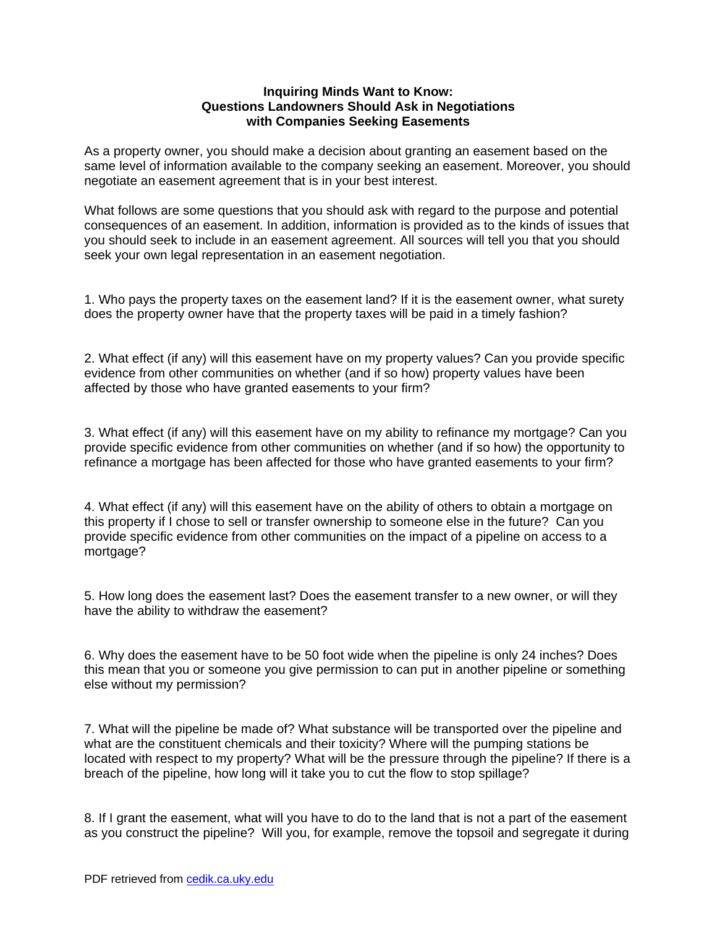### **Inquiring Minds Want to Know: Questions Landowners Should Ask in Negotiations with Companies Seeking Easements**

As a property owner, you should make a decision about granting an easement based on the same level of information available to the company seeking an easement. Moreover, you should negotiate an easement agreement that is in your best interest.

What follows are some questions that you should ask with regard to the purpose and potential consequences of an easement. In addition, information is provided as to the kinds of issues that you should seek to include in an easement agreement. All sources will tell you that you should seek your own legal representation in an easement negotiation.

1. Who pays the property taxes on the easement land? If it is the easement owner, what surety does the property owner have that the property taxes will be paid in a timely fashion?

2. What effect (if any) will this easement have on my property values? Can you provide specific evidence from other communities on whether (and if so how) property values have been affected by those who have granted easements to your firm?

3. What effect (if any) will this easement have on my ability to refinance my mortgage? Can you provide specific evidence from other communities on whether (and if so how) the opportunity to refinance a mortgage has been affected for those who have granted easements to your firm?

4. What effect (if any) will this easement have on the ability of others to obtain a mortgage on this property if I chose to sell or transfer ownership to someone else in the future? Can you provide specific evidence from other communities on the impact of a pipeline on access to a mortgage?

5. How long does the easement last? Does the easement transfer to a new owner, or will they have the ability to withdraw the easement?

6. Why does the easement have to be 50 foot wide when the pipeline is only 24 inches? Does this mean that you or someone you give permission to can put in another pipeline or something else without my permission?

7. What will the pipeline be made of? What substance will be transported over the pipeline and what are the constituent chemicals and their toxicity? Where will the pumping stations be located with respect to my property? What will be the pressure through the pipeline? If there is a breach of the pipeline, how long will it take you to cut the flow to stop spillage?

8. If I grant the easement, what will you have to do to the land that is not a part of the easement as you construct the pipeline? Will you, for example, remove the topsoil and segregate it during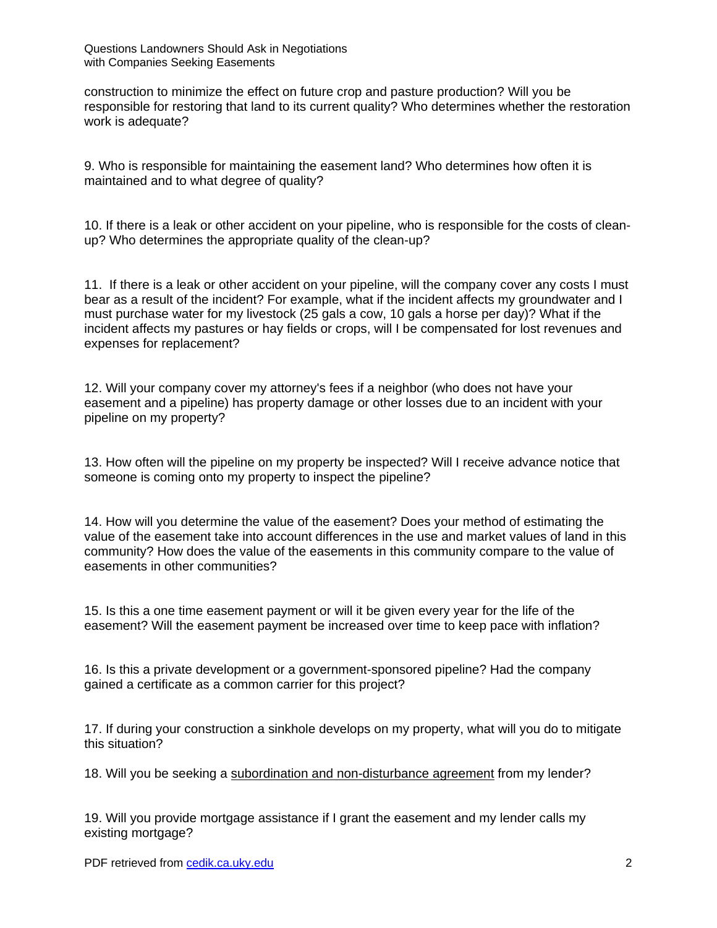construction to minimize the effect on future crop and pasture production? Will you be responsible for restoring that land to its current quality? Who determines whether the restoration work is adequate?

9. Who is responsible for maintaining the easement land? Who determines how often it is maintained and to what degree of quality?

10. If there is a leak or other accident on your pipeline, who is responsible for the costs of cleanup? Who determines the appropriate quality of the clean-up?

11. If there is a leak or other accident on your pipeline, will the company cover any costs I must bear as a result of the incident? For example, what if the incident affects my groundwater and I must purchase water for my livestock (25 gals a cow, 10 gals a horse per day)? What if the incident affects my pastures or hay fields or crops, will I be compensated for lost revenues and expenses for replacement?

12. Will your company cover my attorney's fees if a neighbor (who does not have your easement and a pipeline) has property damage or other losses due to an incident with your pipeline on my property?

13. How often will the pipeline on my property be inspected? Will I receive advance notice that someone is coming onto my property to inspect the pipeline?

14. How will you determine the value of the easement? Does your method of estimating the value of the easement take into account differences in the use and market values of land in this community? How does the value of the easements in this community compare to the value of easements in other communities?

15. Is this a one time easement payment or will it be given every year for the life of the easement? Will the easement payment be increased over time to keep pace with inflation?

16. Is this a private development or a government-sponsored pipeline? Had the company gained a certificate as a common carrier for this project?

17. If during your construction a sinkhole develops on my property, what will you do to mitigate this situation?

18. Will you be seeking a subordination and non-disturbance agreement from my lender?

19. Will you provide mortgage assistance if I grant the easement and my lender calls my existing mortgage?

PDF retrieved from cedik.ca.uky.edu 2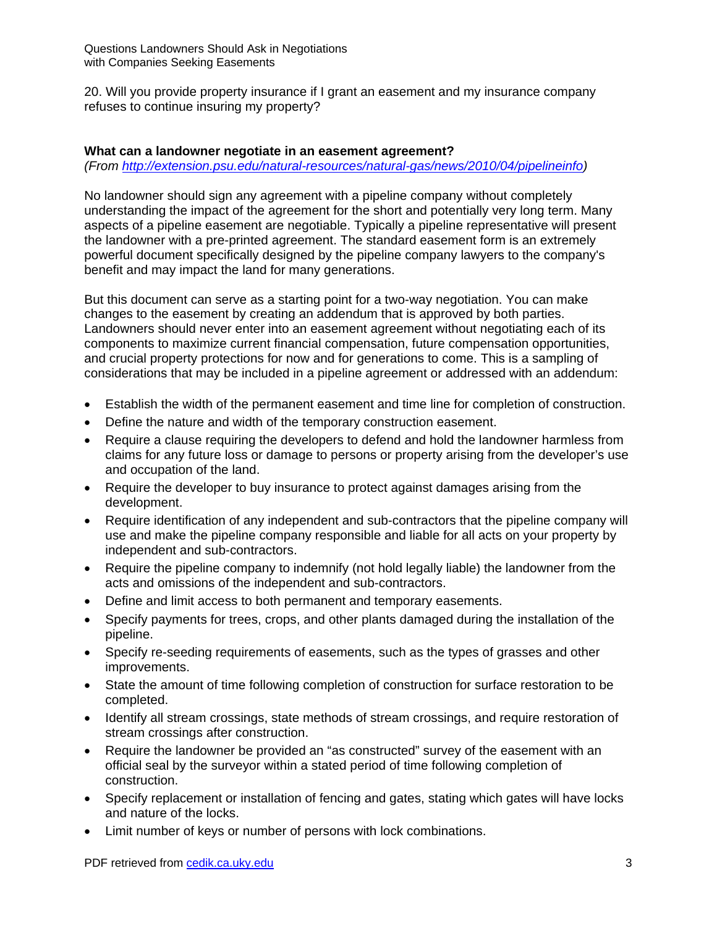20. Will you provide property insurance if I grant an easement and my insurance company refuses to continue insuring my property?

#### **What can a landowner negotiate in an easement agreement?**  *(From http://extension.psu.edu/natural-resources/natural-gas/news/2010/04/pipelineinfo)*

No landowner should sign any agreement with a pipeline company without completely understanding the impact of the agreement for the short and potentially very long term. Many aspects of a pipeline easement are negotiable. Typically a pipeline representative will present the landowner with a pre-printed agreement. The standard easement form is an extremely powerful document specifically designed by the pipeline company lawyers to the company's benefit and may impact the land for many generations.

But this document can serve as a starting point for a two-way negotiation. You can make changes to the easement by creating an addendum that is approved by both parties. Landowners should never enter into an easement agreement without negotiating each of its components to maximize current financial compensation, future compensation opportunities, and crucial property protections for now and for generations to come. This is a sampling of considerations that may be included in a pipeline agreement or addressed with an addendum:

- Establish the width of the permanent easement and time line for completion of construction.
- Define the nature and width of the temporary construction easement.
- Require a clause requiring the developers to defend and hold the landowner harmless from claims for any future loss or damage to persons or property arising from the developer's use and occupation of the land.
- Require the developer to buy insurance to protect against damages arising from the development.
- Require identification of any independent and sub-contractors that the pipeline company will use and make the pipeline company responsible and liable for all acts on your property by independent and sub-contractors.
- Require the pipeline company to indemnify (not hold legally liable) the landowner from the acts and omissions of the independent and sub-contractors.
- Define and limit access to both permanent and temporary easements.
- Specify payments for trees, crops, and other plants damaged during the installation of the pipeline.
- Specify re-seeding requirements of easements, such as the types of grasses and other improvements.
- State the amount of time following completion of construction for surface restoration to be completed.
- Identify all stream crossings, state methods of stream crossings, and require restoration of stream crossings after construction.
- Require the landowner be provided an "as constructed" survey of the easement with an official seal by the surveyor within a stated period of time following completion of construction.
- Specify replacement or installation of fencing and gates, stating which gates will have locks and nature of the locks.
- Limit number of keys or number of persons with lock combinations.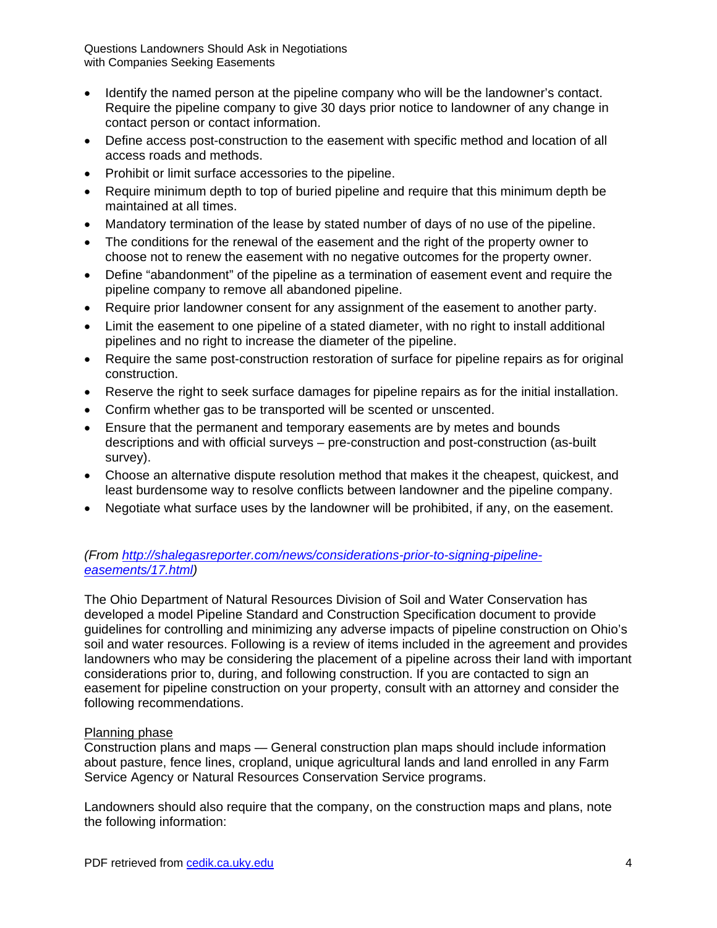Questions Landowners Should Ask in Negotiations with Companies Seeking Easements

- Identify the named person at the pipeline company who will be the landowner's contact. Require the pipeline company to give 30 days prior notice to landowner of any change in contact person or contact information.
- Define access post-construction to the easement with specific method and location of all access roads and methods.
- Prohibit or limit surface accessories to the pipeline.
- Require minimum depth to top of buried pipeline and require that this minimum depth be maintained at all times.
- Mandatory termination of the lease by stated number of days of no use of the pipeline.
- The conditions for the renewal of the easement and the right of the property owner to choose not to renew the easement with no negative outcomes for the property owner.
- Define "abandonment" of the pipeline as a termination of easement event and require the pipeline company to remove all abandoned pipeline.
- Require prior landowner consent for any assignment of the easement to another party.
- Limit the easement to one pipeline of a stated diameter, with no right to install additional pipelines and no right to increase the diameter of the pipeline.
- Require the same post-construction restoration of surface for pipeline repairs as for original construction.
- Reserve the right to seek surface damages for pipeline repairs as for the initial installation.
- Confirm whether gas to be transported will be scented or unscented.
- Ensure that the permanent and temporary easements are by metes and bounds descriptions and with official surveys – pre-construction and post-construction (as-built survey).
- Choose an alternative dispute resolution method that makes it the cheapest, quickest, and least burdensome way to resolve conflicts between landowner and the pipeline company.
- Negotiate what surface uses by the landowner will be prohibited, if any, on the easement.

# *(From http://shalegasreporter.com/news/considerations-prior-to-signing-pipelineeasements/17.html)*

The Ohio Department of Natural Resources Division of Soil and Water Conservation has developed a model Pipeline Standard and Construction Specification document to provide guidelines for controlling and minimizing any adverse impacts of pipeline construction on Ohio's soil and water resources. Following is a review of items included in the agreement and provides landowners who may be considering the placement of a pipeline across their land with important considerations prior to, during, and following construction. If you are contacted to sign an easement for pipeline construction on your property, consult with an attorney and consider the following recommendations.

## Planning phase

Construction plans and maps — General construction plan maps should include information about pasture, fence lines, cropland, unique agricultural lands and land enrolled in any Farm Service Agency or Natural Resources Conservation Service programs.

Landowners should also require that the company, on the construction maps and plans, note the following information: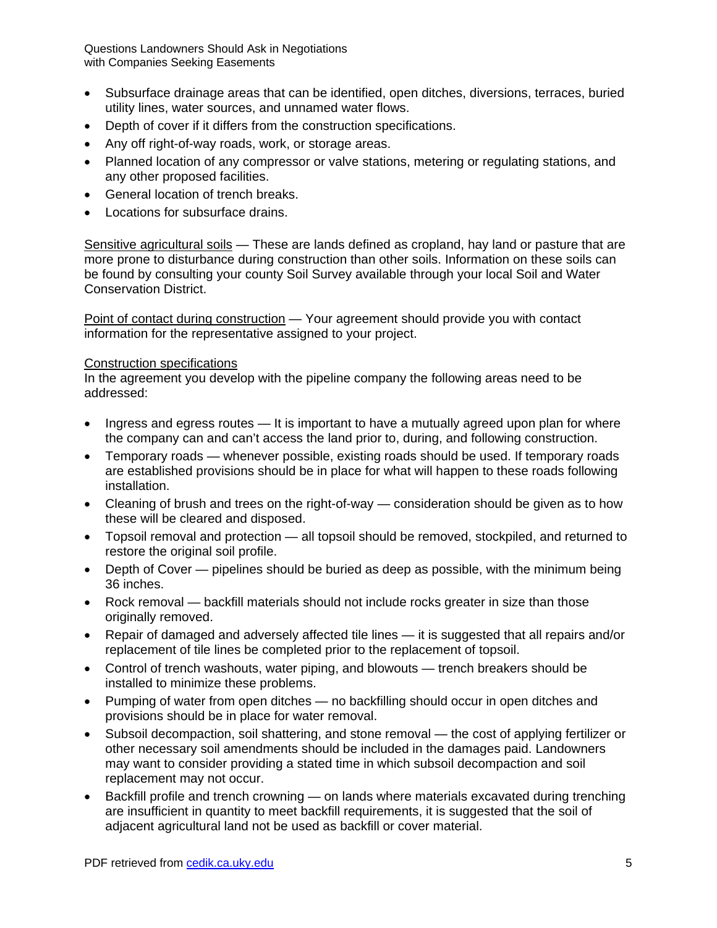Questions Landowners Should Ask in Negotiations with Companies Seeking Easements

- Subsurface drainage areas that can be identified, open ditches, diversions, terraces, buried utility lines, water sources, and unnamed water flows.
- Depth of cover if it differs from the construction specifications.
- Any off right-of-way roads, work, or storage areas.
- Planned location of any compressor or valve stations, metering or regulating stations, and any other proposed facilities.
- General location of trench breaks.
- Locations for subsurface drains.

Sensitive agricultural soils — These are lands defined as cropland, hay land or pasture that are more prone to disturbance during construction than other soils. Information on these soils can be found by consulting your county Soil Survey available through your local Soil and Water Conservation District.

Point of contact during construction — Your agreement should provide you with contact information for the representative assigned to your project.

## Construction specifications

In the agreement you develop with the pipeline company the following areas need to be addressed:

- Ingress and egress routes It is important to have a mutually agreed upon plan for where the company can and can't access the land prior to, during, and following construction.
- Temporary roads whenever possible, existing roads should be used. If temporary roads are established provisions should be in place for what will happen to these roads following installation.
- Cleaning of brush and trees on the right-of-way consideration should be given as to how these will be cleared and disposed.
- Topsoil removal and protection all topsoil should be removed, stockpiled, and returned to restore the original soil profile.
- Depth of Cover pipelines should be buried as deep as possible, with the minimum being 36 inches.
- Rock removal backfill materials should not include rocks greater in size than those originally removed.
- Repair of damaged and adversely affected tile lines it is suggested that all repairs and/or replacement of tile lines be completed prior to the replacement of topsoil.
- Control of trench washouts, water piping, and blowouts trench breakers should be installed to minimize these problems.
- Pumping of water from open ditches no backfilling should occur in open ditches and provisions should be in place for water removal.
- Subsoil decompaction, soil shattering, and stone removal the cost of applying fertilizer or other necessary soil amendments should be included in the damages paid. Landowners may want to consider providing a stated time in which subsoil decompaction and soil replacement may not occur.
- Backfill profile and trench crowning on lands where materials excavated during trenching are insufficient in quantity to meet backfill requirements, it is suggested that the soil of adjacent agricultural land not be used as backfill or cover material.